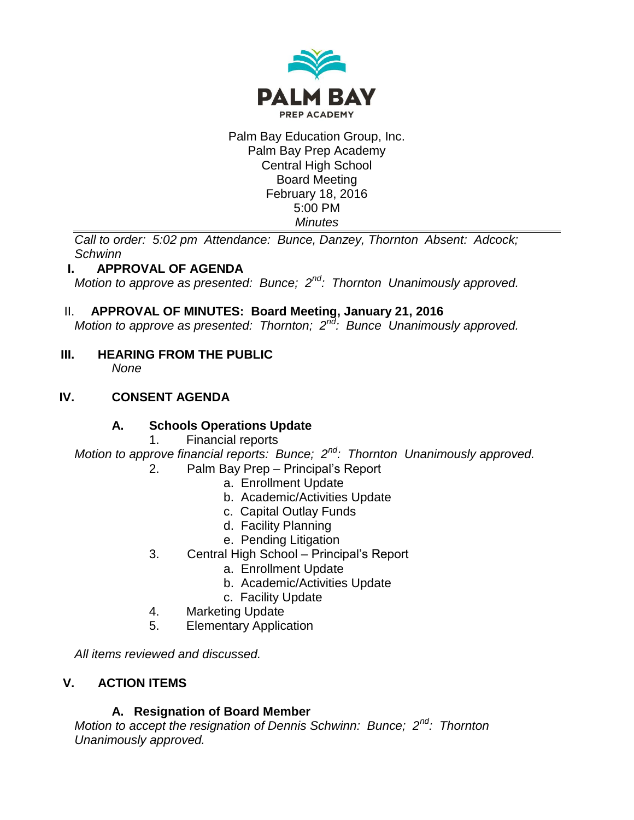

#### Palm Bay Education Group, Inc. Palm Bay Prep Academy Central High School Board Meeting February 18, 2016 5:00 PM *Minutes*

*Call to order: 5:02 pm Attendance: Bunce, Danzey, Thornton Absent: Adcock; Schwinn*

# **I. APPROVAL OF AGENDA**

*Motion to approve as presented: Bunce; 2nd: Thornton Unanimously approved.*

# II. **APPROVAL OF MINUTES: Board Meeting, January 21, 2016**

*Motion to approve as presented: Thornton; 2nd: Bunce Unanimously approved.*

**III. HEARING FROM THE PUBLIC** *None*

# **IV. CONSENT AGENDA**

# **A. Schools Operations Update**

1. Financial reports

*Motion to approve financial reports: Bunce; 2nd: Thornton Unanimously approved.*

- 2. Palm Bay Prep Principal's Report
	- a. Enrollment Update
	- b. Academic/Activities Update
	- c. Capital Outlay Funds
	- d. Facility Planning
	- e. Pending Litigation
- 3. Central High School Principal's Report
	- a. Enrollment Update
	- b. Academic/Activities Update
	- c. Facility Update
- 4. Marketing Update
- 5. Elementary Application

*All items reviewed and discussed.*

# **V. ACTION ITEMS**

# **A. Resignation of Board Member**

*Motion to accept the resignation of Dennis Schwinn: Bunce; 2nd: Thornton Unanimously approved.*